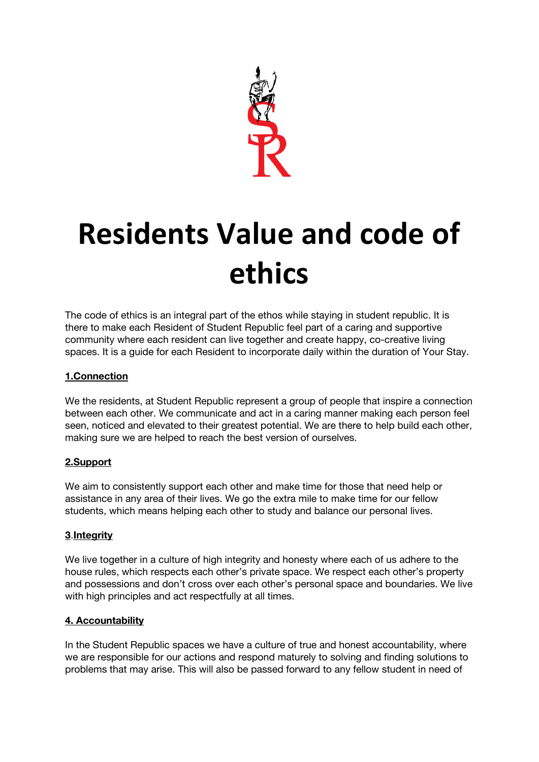

# **Residents Value and code of ethics**

The code of ethics is an integral part of the ethos while staying in student republic. It is there to make each Resident of Student Republic feel part of a caring and supportive community where each resident can live together and create happy, co-creative living spaces. It is a guide for each Resident to incorporate daily within the duration of Your Stay.

## **1.Connection**

We the residents, at Student Republic represent a group of people that inspire a connection between each other. We communicate and act in a caring manner making each person feel seen, noticed and elevated to their greatest potential. We are there to help build each other, making sure we are helped to reach the best version of ourselves.

### **2.Support**

We aim to consistently support each other and make time for those that need help or assistance in any area of their lives. We go the extra mile to make time for our fellow students, which means helping each other to study and balance our personal lives.

### **3**.**Integrity**

We live together in a culture of high integrity and honesty where each of us adhere to the house rules, which respects each other's private space. We respect each other's property and possessions and don't cross over each other's personal space and boundaries. We live with high principles and act respectfully at all times.

### **4. Accountability**

In the Student Republic spaces we have a culture of true and honest accountability, where we are responsible for our actions and respond maturely to solving and finding solutions to problems that may arise. This will also be passed forward to any fellow student in need of